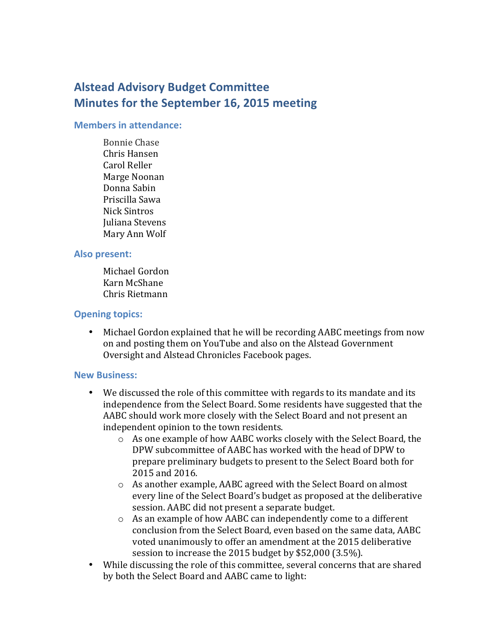# **Alstead Advisory Budget Committee Minutes for the September 16, 2015 meeting**

#### **Members in attendance:**

Bonnie Chase Chris Hansen Carol Reller Marge Noonan Donna Sabin Priscilla Sawa Nick Sintros Juliana Stevens Mary Ann Wolf

## **Also present:**

Michael Gordon Karn McShane Chris Rietmann

## **Opening topics:**

• Michael Gordon explained that he will be recording AABC meetings from now on and posting them on YouTube and also on the Alstead Government Oversight and Alstead Chronicles Facebook pages.

## **New Business:**

- We discussed the role of this committee with regards to its mandate and its independence from the Select Board. Some residents have suggested that the AABC should work more closely with the Select Board and not present an independent opinion to the town residents.
	- $\circ$  As one example of how AABC works closely with the Select Board, the DPW subcommittee of AABC has worked with the head of DPW to prepare preliminary budgets to present to the Select Board both for 2015 and 2016.
	- $\circ$  As another example, AABC agreed with the Select Board on almost every line of the Select Board's budget as proposed at the deliberative session. AABC did not present a separate budget.
	- $\circ$  As an example of how AABC can independently come to a different conclusion from the Select Board, even based on the same data, AABC voted unanimously to offer an amendment at the 2015 deliberative session to increase the  $2015$  budget by \$52,000 (3.5%).
- While discussing the role of this committee, several concerns that are shared by both the Select Board and AABC came to light: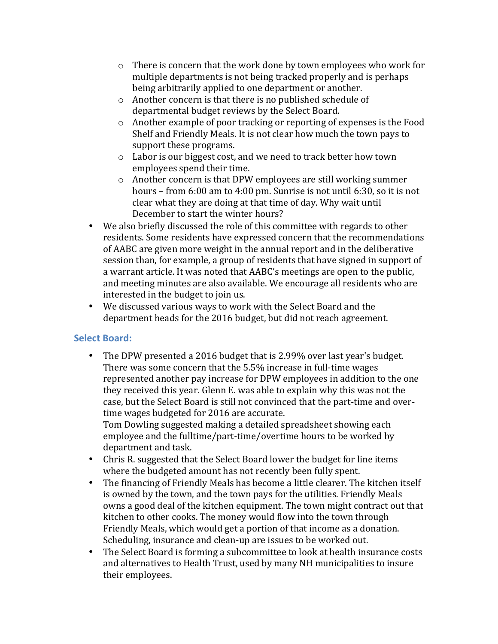- $\circ$  There is concern that the work done by town employees who work for multiple departments is not being tracked properly and is perhaps being arbitrarily applied to one department or another.
- $\circ$  Another concern is that there is no published schedule of departmental budget reviews by the Select Board.
- $\circ$  Another example of poor tracking or reporting of expenses is the Food Shelf and Friendly Meals. It is not clear how much the town pays to support these programs.
- $\circ$  Labor is our biggest cost, and we need to track better how town employees spend their time.
- $\circ$  Another concern is that DPW employees are still working summer hours – from  $6:00$  am to  $4:00$  pm. Sunrise is not until  $6:30$ , so it is not clear what they are doing at that time of day. Why wait until December to start the winter hours?
- We also briefly discussed the role of this committee with regards to other residents. Some residents have expressed concern that the recommendations of AABC are given more weight in the annual report and in the deliberative session than, for example, a group of residents that have signed in support of a warrant article. It was noted that AABC's meetings are open to the public, and meeting minutes are also available. We encourage all residents who are interested in the budget to join us.
- We discussed various ways to work with the Select Board and the department heads for the 2016 budget, but did not reach agreement.

# **Select Board:**

• The DPW presented a 2016 budget that is 2.99% over last year's budget. There was some concern that the 5.5% increase in full-time wages represented another pay increase for DPW employees in addition to the one they received this year. Glenn E. was able to explain why this was not the case, but the Select Board is still not convinced that the part-time and overtime wages budgeted for 2016 are accurate.

Tom Dowling suggested making a detailed spreadsheet showing each employee and the fulltime/part-time/overtime hours to be worked by department and task.

- Chris R. suggested that the Select Board lower the budget for line items where the budgeted amount has not recently been fully spent.
- The financing of Friendly Meals has become a little clearer. The kitchen itself is owned by the town, and the town pays for the utilities. Friendly Meals owns a good deal of the kitchen equipment. The town might contract out that kitchen to other cooks. The money would flow into the town through Friendly Meals, which would get a portion of that income as a donation. Scheduling, insurance and clean-up are issues to be worked out.
- The Select Board is forming a subcommittee to look at health insurance costs and alternatives to Health Trust, used by many NH municipalities to insure their employees.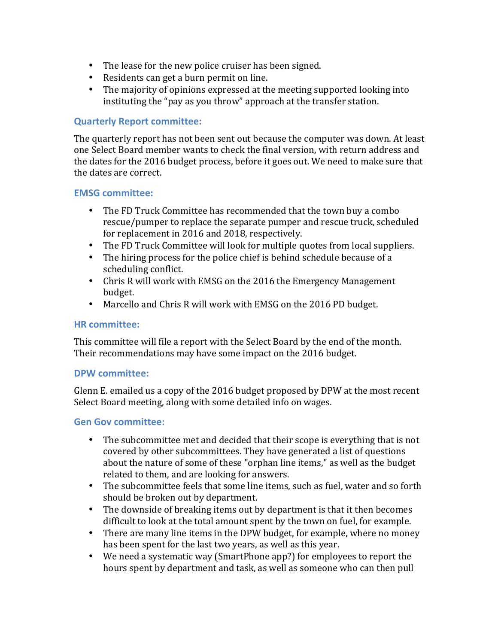- The lease for the new police cruiser has been signed.
- Residents can get a burn permit on line.
- The majority of opinions expressed at the meeting supported looking into instituting the "pay as you throw" approach at the transfer station.

## **Quarterly Report committee:**

The quarterly report has not been sent out because the computer was down. At least one Select Board member wants to check the final version, with return address and the dates for the 2016 budget process, before it goes out. We need to make sure that the dates are correct.

#### **EMSG committee:**

- The FD Truck Committee has recommended that the town buy a combo rescue/pumper to replace the separate pumper and rescue truck, scheduled for replacement in 2016 and 2018, respectively.
- The FD Truck Committee will look for multiple quotes from local suppliers.
- The hiring process for the police chief is behind schedule because of a scheduling conflict.
- Chris R will work with EMSG on the 2016 the Emergency Management budget.
- Marcello and Chris R will work with EMSG on the 2016 PD budget.

#### **HR committee:**

This committee will file a report with the Select Board by the end of the month. Their recommendations may have some impact on the 2016 budget.

#### **DPW committee:**

Glenn E. emailed us a copy of the 2016 budget proposed by DPW at the most recent Select Board meeting, along with some detailed info on wages.

## **Gen Gov committee:**

- The subcommittee met and decided that their scope is everything that is not covered by other subcommittees. They have generated a list of questions about the nature of some of these "orphan line items," as well as the budget related to them, and are looking for answers.
- The subcommittee feels that some line items, such as fuel, water and so forth should be broken out by department.
- The downside of breaking items out by department is that it then becomes difficult to look at the total amount spent by the town on fuel, for example.
- There are many line items in the DPW budget, for example, where no money has been spent for the last two years, as well as this year.
- We need a systematic way (SmartPhone app?) for employees to report the hours spent by department and task, as well as someone who can then pull